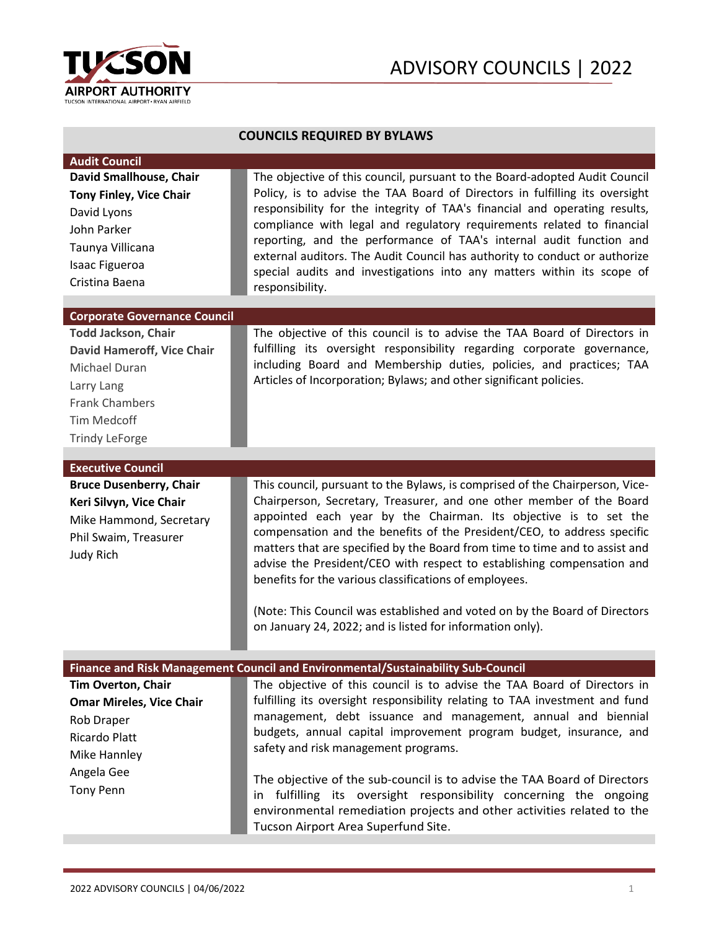

| <b>COUNCILS REQUIRED BY BYLAWS</b>                                                                                                                                      |                                                                                                                                                                                                                                                                                                                                                                                                                                                                                                                                                                                                                                                                   |
|-------------------------------------------------------------------------------------------------------------------------------------------------------------------------|-------------------------------------------------------------------------------------------------------------------------------------------------------------------------------------------------------------------------------------------------------------------------------------------------------------------------------------------------------------------------------------------------------------------------------------------------------------------------------------------------------------------------------------------------------------------------------------------------------------------------------------------------------------------|
| <b>Audit Council</b><br>David Smallhouse, Chair<br><b>Tony Finley, Vice Chair</b><br>David Lyons<br>John Parker<br>Taunya Villicana<br>Isaac Figueroa<br>Cristina Baena | The objective of this council, pursuant to the Board-adopted Audit Council<br>Policy, is to advise the TAA Board of Directors in fulfilling its oversight<br>responsibility for the integrity of TAA's financial and operating results,<br>compliance with legal and regulatory requirements related to financial<br>reporting, and the performance of TAA's internal audit function and<br>external auditors. The Audit Council has authority to conduct or authorize<br>special audits and investigations into any matters within its scope of<br>responsibility.                                                                                               |
| <b>Corporate Governance Council</b>                                                                                                                                     |                                                                                                                                                                                                                                                                                                                                                                                                                                                                                                                                                                                                                                                                   |
| <b>Todd Jackson, Chair</b><br><b>David Hameroff, Vice Chair</b><br>Michael Duran<br>Larry Lang<br><b>Frank Chambers</b><br>Tim Medcoff<br><b>Trindy LeForge</b>         | The objective of this council is to advise the TAA Board of Directors in<br>fulfilling its oversight responsibility regarding corporate governance,<br>including Board and Membership duties, policies, and practices; TAA<br>Articles of Incorporation; Bylaws; and other significant policies.                                                                                                                                                                                                                                                                                                                                                                  |
|                                                                                                                                                                         |                                                                                                                                                                                                                                                                                                                                                                                                                                                                                                                                                                                                                                                                   |
| <b>Executive Council</b><br><b>Bruce Dusenberry, Chair</b><br>Keri Silvyn, Vice Chair<br>Mike Hammond, Secretary<br>Phil Swaim, Treasurer<br><b>Judy Rich</b>           | This council, pursuant to the Bylaws, is comprised of the Chairperson, Vice-<br>Chairperson, Secretary, Treasurer, and one other member of the Board<br>appointed each year by the Chairman. Its objective is to set the<br>compensation and the benefits of the President/CEO, to address specific<br>matters that are specified by the Board from time to time and to assist and<br>advise the President/CEO with respect to establishing compensation and<br>benefits for the various classifications of employees.<br>(Note: This Council was established and voted on by the Board of Directors<br>on January 24, 2022; and is listed for information only). |
| Finance and Risk Management Council and Environmental/Sustainability Sub-Council                                                                                        |                                                                                                                                                                                                                                                                                                                                                                                                                                                                                                                                                                                                                                                                   |
| <b>Tim Overton, Chair</b><br><b>Omar Mireles, Vice Chair</b><br>Rob Draper<br>Ricardo Platt<br>Mike Hannley<br>Angela Gee<br><b>Tony Penn</b>                           | The objective of this council is to advise the TAA Board of Directors in<br>fulfilling its oversight responsibility relating to TAA investment and fund<br>management, debt issuance and management, annual and biennial<br>budgets, annual capital improvement program budget, insurance, and<br>safety and risk management programs.<br>The objective of the sub-council is to advise the TAA Board of Directors<br>fulfilling its oversight responsibility concerning the ongoing<br>in.                                                                                                                                                                       |
|                                                                                                                                                                         | environmental remediation projects and other activities related to the<br>Tucson Airport Area Superfund Site.                                                                                                                                                                                                                                                                                                                                                                                                                                                                                                                                                     |